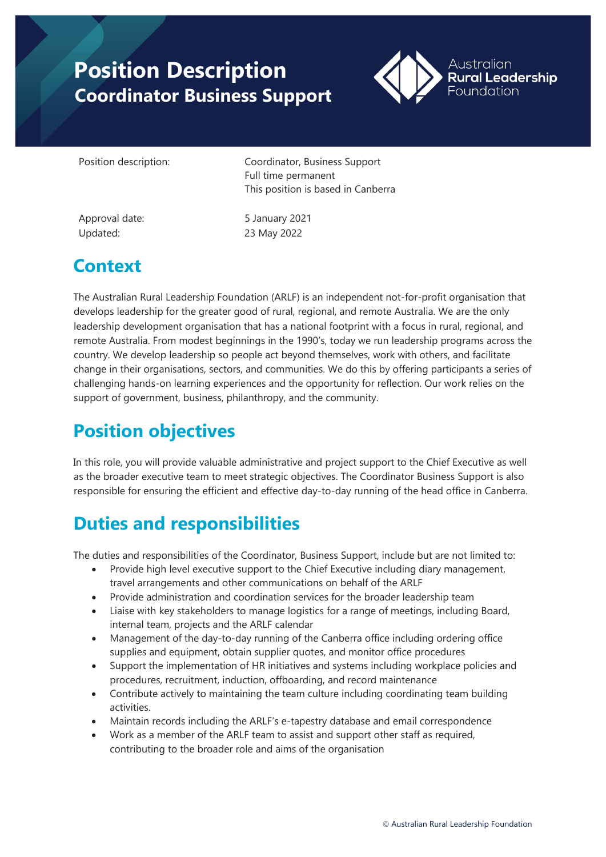# **Position Description Coordinator Business Support**



Position description: Coordinator, Business Support Full time permanent This position is based in Canberra

Updated: 23 May 2022

Approval date: 5 January 2021

### **Context**

The Australian Rural Leadership Foundation (ARLF) is an independent not-for-profit organisation that develops leadership for the greater good of rural, regional, and remote Australia. We are the only leadership development organisation that has a national footprint with a focus in rural, regional, and remote Australia. From modest beginnings in the 1990's, today we run leadership programs across the country. We develop leadership so people act beyond themselves, work with others, and facilitate change in their organisations, sectors, and communities. We do this by offering participants a series of challenging hands-on learning experiences and the opportunity for reflection. Our work relies on the support of government, business, philanthropy, and the community.

## **Position objectives**

In this role, you will provide valuable administrative and project support to the Chief Executive as well as the broader executive team to meet strategic objectives. The Coordinator Business Support is also responsible for ensuring the efficient and effective day-to-day running of the head office in Canberra.

#### **Duties and responsibilities**

The duties and responsibilities of the Coordinator, Business Support, include but are not limited to:

- Provide high level executive support to the Chief Executive including diary management, travel arrangements and other communications on behalf of the ARLF
- Provide administration and coordination services for the broader leadership team
- Liaise with key stakeholders to manage logistics for a range of meetings, including Board, internal team, projects and the ARLF calendar
- Management of the day-to-day running of the Canberra office including ordering office supplies and equipment, obtain supplier quotes, and monitor office procedures
- Support the implementation of HR initiatives and systems including workplace policies and procedures, recruitment, induction, offboarding, and record maintenance
- Contribute actively to maintaining the team culture including coordinating team building activities.
- Maintain records including the ARLF's e-tapestry database and email correspondence
- Work as a member of the ARLF team to assist and support other staff as required, contributing to the broader role and aims of the organisation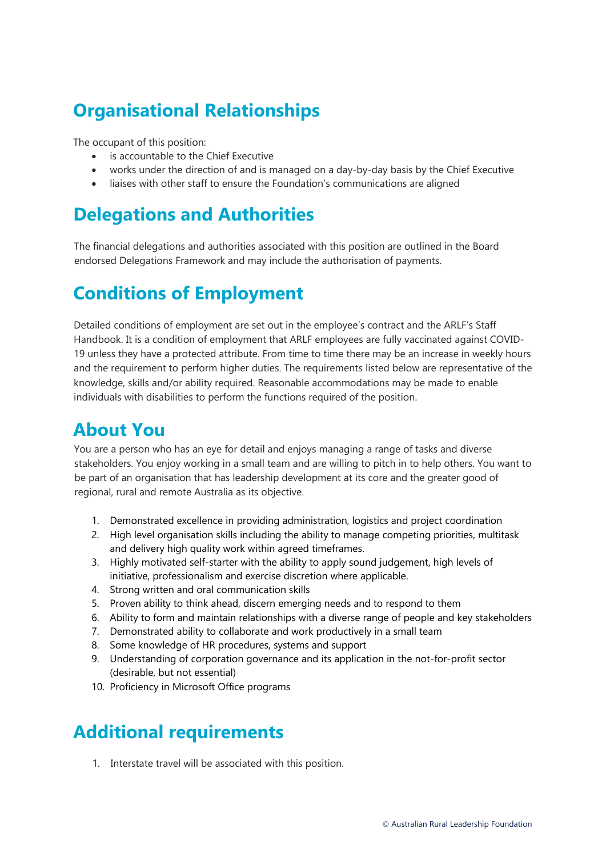#### **Organisational Relationships**

The occupant of this position:

- is accountable to the Chief Executive
- works under the direction of and is managed on a day-by-day basis by the Chief Executive
- liaises with other staff to ensure the Foundation's communications are aligned

#### **Delegations and Authorities**

The financial delegations and authorities associated with this position are outlined in the Board endorsed Delegations Framework and may include the authorisation of payments.

#### **Conditions of Employment**

Detailed conditions of employment are set out in the employee's contract and the ARLF's Staff Handbook. It is a condition of employment that ARLF employees are fully vaccinated against COVID-19 unless they have a protected attribute. From time to time there may be an increase in weekly hours and the requirement to perform higher duties. The requirements listed below are representative of the knowledge, skills and/or ability required. Reasonable accommodations may be made to enable individuals with disabilities to perform the functions required of the position.

#### **About You**

You are a person who has an eye for detail and enjoys managing a range of tasks and diverse stakeholders. You enjoy working in a small team and are willing to pitch in to help others. You want to be part of an organisation that has leadership development at its core and the greater good of regional, rural and remote Australia as its objective.

- 1. Demonstrated excellence in providing administration, logistics and project coordination
- 2. High level organisation skills including the ability to manage competing priorities, multitask and delivery high quality work within agreed timeframes.
- 3. Highly motivated self-starter with the ability to apply sound judgement, high levels of initiative, professionalism and exercise discretion where applicable.
- 4. Strong written and oral communication skills
- 5. Proven ability to think ahead, discern emerging needs and to respond to them
- 6. Ability to form and maintain relationships with a diverse range of people and key stakeholders
- 7. Demonstrated ability to collaborate and work productively in a small team
- 8. Some knowledge of HR procedures, systems and support
- 9. Understanding of corporation governance and its application in the not-for-profit sector (desirable, but not essential)
- 10. Proficiency in Microsoft Office programs

### **Additional requirements**

1. Interstate travel will be associated with this position.